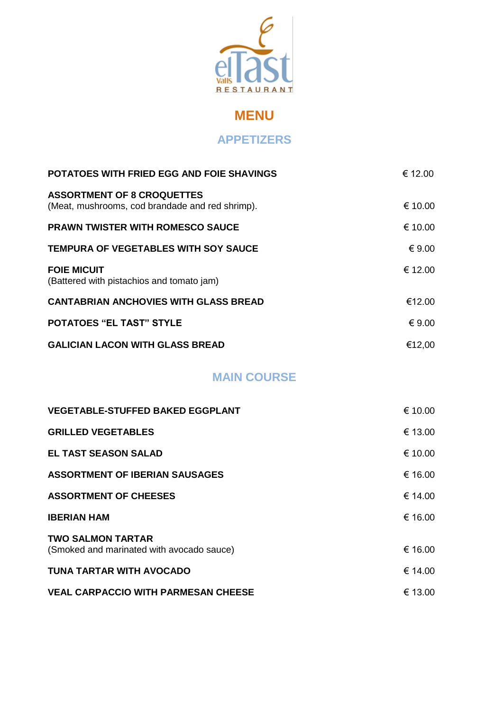

# **MENU**

#### **APPETIZERS**

| <b>POTATOES WITH FRIED EGG AND FOIE SHAVINGS</b>                                     | € 12.00 |
|--------------------------------------------------------------------------------------|---------|
| <b>ASSORTMENT OF 8 CROQUETTES</b><br>(Meat, mushrooms, cod brandade and red shrimp). | € 10.00 |
| <b>PRAWN TWISTER WITH ROMESCO SAUCE</b>                                              | € 10.00 |
| <b>TEMPURA OF VEGETABLES WITH SOY SAUCE</b>                                          | € 9.00  |
| <b>FOIE MICUIT</b><br>(Battered with pistachios and tomato jam)                      | € 12.00 |
| <b>CANTABRIAN ANCHOVIES WITH GLASS BREAD</b>                                         | €12.00  |
| <b>POTATOES "EL TAST" STYLE</b>                                                      | € 9.00  |
| <b>GALICIAN LACON WITH GLASS BREAD</b>                                               | €12,00  |

### **MAIN COURSE**

| € 10.00 |
|---------|
| € 13.00 |
| € 10.00 |
| € 16.00 |
| € 14.00 |
| € 16.00 |
|         |
| € 16.00 |
| € 14.00 |
| € 13.00 |
|         |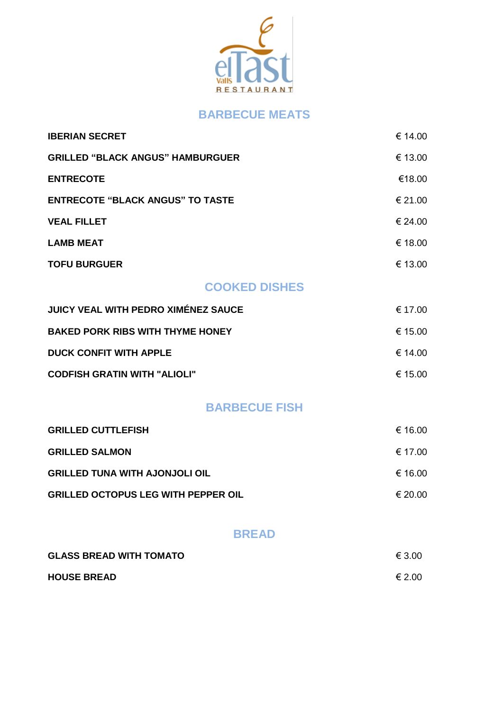

#### **BARBECUE MEATS**

| <b>IBERIAN SECRET</b>                      | € 14.00          |
|--------------------------------------------|------------------|
| <b>GRILLED "BLACK ANGUS" HAMBURGUER</b>    | € 13.00          |
| <b>ENTRECOTE</b>                           | €18.00           |
| <b>ENTRECOTE "BLACK ANGUS" TO TASTE</b>    | € 21.00          |
| <b>VEAL FILLET</b>                         | € 24.00          |
| <b>LAMB MEAT</b>                           | € 18.00          |
| <b>TOFU BURGUER</b>                        | € 13.00          |
| <b>COOKED DISHES</b>                       |                  |
| <b>JUICY VEAL WITH PEDRO XIMÉNEZ SAUCE</b> | € 17.00          |
| <b>BAKED PORK RIBS WITH THYME HONEY</b>    | € 15.00          |
| <b>DUCK CONFIT WITH APPLE</b>              | € 14.00          |
| <b>CODFISH GRATIN WITH "ALIOLI"</b>        | € 15.00          |
| <b>BARBECUE FISH</b>                       |                  |
| <b>GRILLED CUTTLEFISH</b>                  | € 16.00          |
| GRILLED SALMON                             | $\epsilon$ 17 00 |

| $\sim$ . There be $\sim$ . The state of $\sim$ |         |
|------------------------------------------------|---------|
| <b>GRILLED TUNA WITH AJONJOLI OIL</b>          | € 16.00 |
| <b>GRILLED OCTOPUS LEG WITH PEPPER OIL</b>     | € 20.00 |

#### **BREAD**

| <b>GLASS BREAD WITH TOMATO</b> | € 3.00 |
|--------------------------------|--------|
| <b>HOUSE BREAD</b>             | € 2.00 |